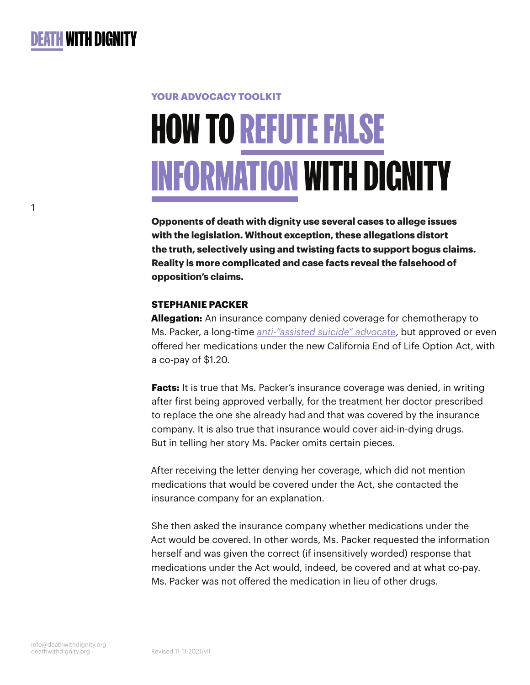1

# **YOUR ADVOCACY TOOLKIT** HOW TO REFUTE FALSE

# INFORMATION WITH DIGNITY

**Opponents of death with dignity use several cases to allege issues with the legislation. Without exception, these allegations distort the truth, selectively using and twisting facts to support bogus claims. Reality is more complicated and case facts reveal the falsehood of opposition's claims.**

# **STEPHANIE PACKER**

**Allegation:** An insurance company denied coverage for chemotherapy to Ms. Packer, a long-time *[anti-"assisted suicide" advocate](https://www.npr.org/sections/health-shots/2015/05/20/405204480/terminally-ill-california-mom-speaks-out-against-assisted-suicide)*, but approved or even offered her medications under the new California End of Life Option Act, with a co-pay of \$1.20.

**Facts:** It is true that Ms. Packer's insurance coverage was denied, in writing after first being approved verbally, for the treatment her doctor prescribed to replace the one she already had and that was covered by the insurance company. It is also true that insurance would cover aid-in-dying drugs. But in telling her story Ms. Packer omits certain pieces.

After receiving the letter denying her coverage, which did not mention medications that would be covered under the Act, she contacted the insurance company for an explanation.

She then asked the insurance company whether medications under the Act would be covered. In other words, Ms. Packer requested the information herself and was given the correct (if insensitively worded) response that medications under the Act would, indeed, be covered and at what co-pay. Ms. Packer was not offered the medication in lieu of other drugs.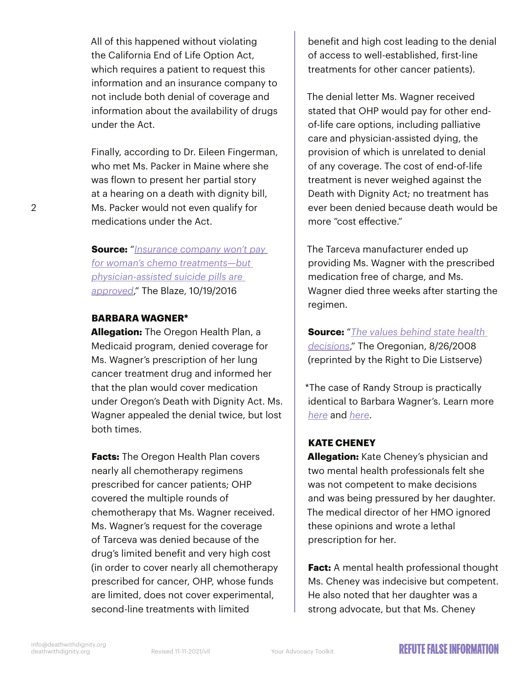All of this happened without violating the California End of Life Option Act, which requires a patient to request this information and an insurance company to not include both denial of coverage and information about the availability of drugs under the Act.

Finally, according to Dr. Eileen Fingerman, who met Ms. Packer in Maine where she was flown to present her partial story at a hearing on a death with dignity bill, Ms. Packer would not even qualify for medications under the Act.

**Source:** "*[Insurance company won't pay](https://www.theblaze.com/news/2016/10/19/insurance-company-wont-pay-for-womans-chemo-treatments-but-physician-assisted-suicide-pills-are-approved)  [for woman's chemo treatments—but](https://www.theblaze.com/news/2016/10/19/insurance-company-wont-pay-for-womans-chemo-treatments-but-physician-assisted-suicide-pills-are-approved)  [physician-assisted suicide pills are](https://www.theblaze.com/news/2016/10/19/insurance-company-wont-pay-for-womans-chemo-treatments-but-physician-assisted-suicide-pills-are-approved)  [approved](https://www.theblaze.com/news/2016/10/19/insurance-company-wont-pay-for-womans-chemo-treatments-but-physician-assisted-suicide-pills-are-approved)*," The Blaze, 10/19/2016

#### **BARBARA WAGNER\***

**Allegation:** The Oregon Health Plan, a Medicaid program, denied coverage for Ms. Wagner's prescription of her lung cancer treatment drug and informed her that the plan would cover medication under Oregon's Death with Dignity Act. Ms. Wagner appealed the denial twice, but lost both times.

**Facts:** The Oregon Health Plan covers nearly all chemotherapy regimens prescribed for cancer patients; OHP covered the multiple rounds of chemotherapy that Ms. Wagner received. Ms. Wagner's request for the coverage of Tarceva was denied because of the drug's limited benefit and very high cost (in order to cover nearly all chemotherapy prescribed for cancer, OHP, whose funds are limited, does not cover experimental, second-line treatments with limited

benefit and high cost leading to the denial of access to well-established, first-line treatments for other cancer patients).

The denial letter Ms. Wagner received stated that OHP would pay for other endof-life care options, including palliative care and physician-assisted dying, the provision of which is unrelated to denial of any coverage. The cost of end-of-life treatment is never weighed against the Death with Dignity Act; no treatment has ever been denied because death would be more "cost effective."

The Tarceva manufacturer ended up providing Ms. Wagner with the prescribed medication free of charge, and Ms. Wagner died three weeks after starting the regimen.

**Source:** "*[The values behind state health](https://web.archive.org/web/20160304075728/http:/www.lists.opn.org/pipermail/right-to-die_lists.opn.org/2008-August/002902.html)  [decisions](https://web.archive.org/web/20160304075728/http:/www.lists.opn.org/pipermail/right-to-die_lists.opn.org/2008-August/002902.html)*," The Oregonian, 8/26/2008 (reprinted by the Right to Die Listserve)

\*The case of Randy Stroup is practically identical to Barbara Wagner's. Learn more *[here](http://otherspoon.blogspot.com/2009/10/many-opposed-to-health-care-reform-have.html)* and *[here](http://firebrandblog.blogspot.com/2009/10/oregon-offers-terminal-patients-doctor.html)*.

# **KATE CHENEY**

**Allegation:** Kate Cheney's physician and two mental health professionals felt she was not competent to make decisions and was being pressured by her daughter. The medical director of her HMO ignored these opinions and wrote a lethal prescription for her.

**Fact:** A mental health professional thought Ms. Cheney was indecisive but competent. He also noted that her daughter was a strong advocate, but that Ms. Cheney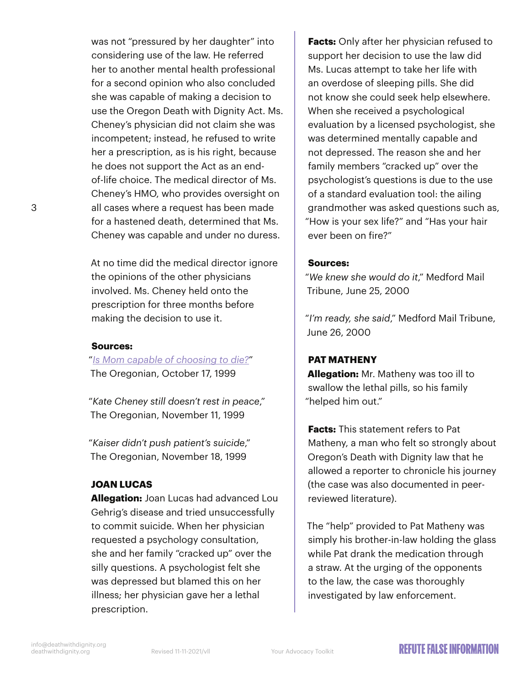was not "pressured by her daughter" into considering use of the law. He referred her to another mental health professional for a second opinion who also concluded she was capable of making a decision to use the Oregon Death with Dignity Act. Ms. Cheney's physician did not claim she was incompetent; instead, he refused to write her a prescription, as is his right, because he does not support the Act as an endof-life choice. The medical director of Ms. Cheney's HMO, who provides oversight on all cases where a request has been made for a hastened death, determined that Ms. Cheney was capable and under no duress.

At no time did the medical director ignore the opinions of the other physicians involved. Ms. Cheney held onto the prescription for three months before making the decision to use it.

#### **Sources:**

3

"*[Is Mom capable of choosing to die?](https://www.oregonlive.com/health/2015/02/physician-assisted_suicide_a_f.html)*" The Oregonian, October 17, 1999

"*Kate Cheney still doesn't rest in peace*," The Oregonian, November 11, 1999

"*Kaiser didn't push patient's suicide*," The Oregonian, November 18, 1999

#### **JOAN LUCAS**

**Allegation:** Joan Lucas had advanced Lou Gehrig's disease and tried unsuccessfully to commit suicide. When her physician requested a psychology consultation, she and her family "cracked up" over the silly questions. A psychologist felt she was depressed but blamed this on her illness; her physician gave her a lethal prescription.

**Facts:** Only after her physician refused to support her decision to use the law did Ms. Lucas attempt to take her life with an overdose of sleeping pills. She did not know she could seek help elsewhere. When she received a psychological evaluation by a licensed psychologist, she was determined mentally capable and not depressed. The reason she and her family members "cracked up" over the psychologist's questions is due to the use of a standard evaluation tool: the ailing grandmother was asked questions such as, "How is your sex life?" and "Has your hair ever been on fire?"

#### **Sources:**

"*We knew she would do it*," Medford Mail Tribune, June 25, 2000

"*I'm ready, she said*," Medford Mail Tribune, June 26, 2000

#### **PAT MATHENY**

**Allegation:** Mr. Matheny was too ill to swallow the lethal pills, so his family "helped him out."

**Facts:** This statement refers to Pat Matheny, a man who felt so strongly about Oregon's Death with Dignity law that he allowed a reporter to chronicle his journey (the case was also documented in peerreviewed literature).

The "help" provided to Pat Matheny was simply his brother-in-law holding the glass while Pat drank the medication through a straw. At the urging of the opponents to the law, the case was thoroughly investigated by law enforcement.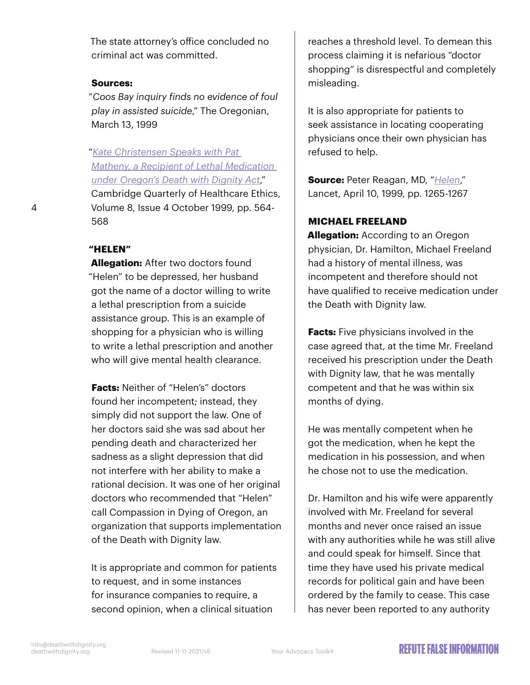The state attorney's office concluded no criminal act was committed.

#### **Sources:**

"*Coos Bay inquiry finds no evidence of foul play in assisted suicide*," The Oregonian, March 13, 1999

"*[Kate Christensen Speaks with Pat](https://www.cambridge.org/core/journals/cambridge-quarterly-of-healthcare-ethics/article/abs/kate-christensen-speaks-with-pat-matheny-a-recipient-of-lethal-medication-under-oregons-death-with-dignity-act/07884EFA7357C2363CB0A6B3D60A0946)  [Matheny, a Recipient of Lethal Medication](https://www.cambridge.org/core/journals/cambridge-quarterly-of-healthcare-ethics/article/abs/kate-christensen-speaks-with-pat-matheny-a-recipient-of-lethal-medication-under-oregons-death-with-dignity-act/07884EFA7357C2363CB0A6B3D60A0946)  [under Oregon's Death with Dignity Act](https://www.cambridge.org/core/journals/cambridge-quarterly-of-healthcare-ethics/article/abs/kate-christensen-speaks-with-pat-matheny-a-recipient-of-lethal-medication-under-oregons-death-with-dignity-act/07884EFA7357C2363CB0A6B3D60A0946)*," Cambridge Quarterly of Healthcare Ethics, Volume 8, Issue 4 October 1999, pp. 564- 568

#### **"HELEN"**

**Allegation:** After two doctors found "Helen" to be depressed, her husband got the name of a doctor willing to write a lethal prescription from a suicide assistance group. This is an example of shopping for a physician who is willing to write a lethal prescription and another who will give mental health clearance.

**Facts:** Neither of "Helen's" doctors found her incompetent; instead, they simply did not support the law. One of her doctors said she was sad about her pending death and characterized her sadness as a slight depression that did not interfere with her ability to make a rational decision. It was one of her original doctors who recommended that "Helen" call Compassion in Dying of Oregon, an organization that supports implementation of the Death with Dignity law.

It is appropriate and common for patients to request, and in some instances for insurance companies to require, a second opinion, when a clinical situation

reaches a threshold level. To demean this process claiming it is nefarious "doctor shopping" is disrespectful and completely misleading.

It is also appropriate for patients to seek assistance in locating cooperating physicians once their own physician has refused to help.

**Source:** Peter Reagan, MD, "*[Helen](https://www.thelancet.com/journals/lancet/article/PIIS0140-6736(98)12219-5/fulltext)*," Lancet, April 10, 1999, pp. 1265-1267

#### **MICHAEL FREELAND**

**Allegation:** According to an Oregon physician, Dr. Hamilton, Michael Freeland had a history of mental illness, was incompetent and therefore should not have qualified to receive medication under the Death with Dignity law.

**Facts:** Five physicians involved in the case agreed that, at the time Mr. Freeland received his prescription under the Death with Dignity law, that he was mentally competent and that he was within six months of dying.

He was mentally competent when he got the medication, when he kept the medication in his possession, and when he chose not to use the medication.

Dr. Hamilton and his wife were apparently involved with Mr. Freeland for several months and never once raised an issue with any authorities while he was still alive and could speak for himself. Since that time they have used his private medical records for political gain and have been ordered by the family to cease. This case has never been reported to any authority